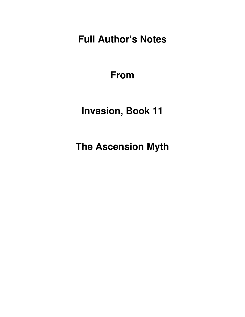**Full Author's Notes** 

**From**

**Invasion, Book 11** 

**The Ascension Myth**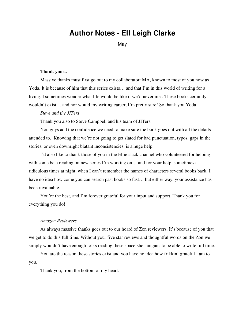# **Author Notes - Ell Leigh Clarke**

May

#### **Thank yous..**

Massive thanks must first go out to my collaborator: MA, known to most of you now as Yoda. It is because of him that this series exists... and that I'm in this world of writing for a living. I sometimes wonder what life would be like if we'd never met. These books certainly wouldn't exist… and nor would my writing career, I'm pretty sure! So thank you Yoda!

## *Steve and the JITers*

Thank you also to Steve Campbell and his team of JITers.

You guys add the confidence we need to make sure the book goes out with all the details attended to. Knowing that we're not going to get slated for bad punctuation, typos, gaps in the stories, or even downright blatant inconsistencies, is a huge help.

I'd also like to thank those of you in the Ellie slack channel who volunteered for helping with some beta reading on new series I'm working on... and for your help, sometimes at ridiculous times at night, when I can't remember the names of characters several books back. I have no idea how come you can search past books so fast... but either way, your assistance has been invaluable.

You're the best, and I'm forever grateful for your input and support. Thank you for everything you do!

## *Amazon Reviewers*

As always massive thanks goes out to our hoard of Zon reviewers. It's because of you that we get to do this full time. Without your five star reviews and thoughtful words on the Zon we simply wouldn't have enough folks reading these space-shenanigans to be able to write full time.

You are the reason these stories exist and you have no idea how frikkin' grateful I am to you.

Thank you, from the bottom of my heart.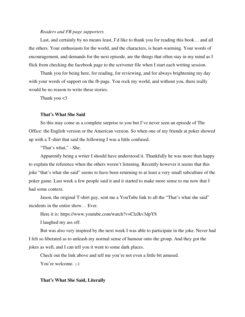## *Readers and FB page supporters*

Last, and certainly by no means least, I'd like to thank you for reading this book… and all the others. Your enthusiasm for the world, and the characters, is heart-warming. Your words of encouragement, and demands for the next episode, are the things that often stay in my mind as I flick from checking the facebook page to the scrivener file when I start each writing session.

Thank you for being here, for reading, for reviewing, and for always brightening my day with your words of support on the fb page. You rock my world, and without you, there really would be no reason to write these stories.

Thank you  $<$ 3

# **That's What She Said**

So this may come as a complete surprise to you but I've never seen an episode of The Office: the English version or the American version. So when one of my friends at poker showed up with a T-shirt that said the following I was a little confused.

"That's what," - She.

Apparently being a writer I should have understood it. Thankfully he was more than happy to explain the reference when the others weren't listening. Recently however it seems that this joke "that's what she said" seems to have been returning to at least a very small subculture of the poker game. Last week a few people said it and it started to make more sense to me now that I had some context.

Jason, the original T-shirt guy, sent me a YouTube link to all the "That's what she said" incidents in the entire show… Ever.

Here it is: https://www.youtube.com/watch?v=ClzJkv3dpY8

I laughed my ass off.

But was also very inspired by the next week I was able to participate in the joke. Never had I felt so liberated as to unleash my normal sense of humour onto the group. And they got the jokes as well, and I can tell you it went to some dark places.

Check out the link above and tell me you're not even a little bit amused. You're welcome. :-)

## **That's What She Said, Literally**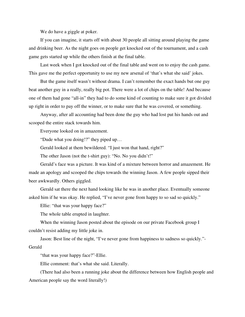We do have a giggle at poker.

If you can imagine, it starts off with about 30 people all sitting around playing the game and drinking beer. As the night goes on people get knocked out of the tournament, and a cash game gets started up while the others finish at the final table.

Last week when I got knocked out of the final table and went on to enjoy the cash game. This gave me the perfect opportunity to use my new arsenal of 'that's what she said' jokes.

But the game itself wasn't without drama. I can't remember the exact hands but one guy beat another guy in a really, really big pot. There were a lot of chips on the table! And because one of them had gone "all-in" they had to do some kind of counting to make sure it got divided up right in order to pay off the winner, or to make sure that he was covered, or something.

Anyway, after all accounting had been done the guy who had lost put his hands out and scooped the entire stack towards him.

Everyone looked on in amazement.

"Dude what you doing!?" they piped up…

Gerald looked at them bewildered. "I just won that hand, right?"

The other Jason (not the t-shirt guy): "No. No you didn't!"

Gerald's face was a picture. It was kind of a mixture between horror and amazement. He made an apology and scooped the chips towards the winning Jason. A few people sipped their beer awkwardly. Others giggled.

Gerald sat there the next hand looking like he was in another place. Eventually someone asked him if he was okay. He replied, "I've never gone from happy to so sad so quickly."

Ellie: "that was your happy face?"

The whole table erupted in laughter.

When the winning Jason posted about the episode on our private Facebook group I couldn't resist adding my little joke in.

Jason: Best line of the night, "I've never gone from happiness to sadness so quickly."- Gerald

"that was your happy face?"-Ellie.

Ellie comment: that's what she said. Literally.

(There had also been a running joke about the difference between how English people and American people say the word literally!)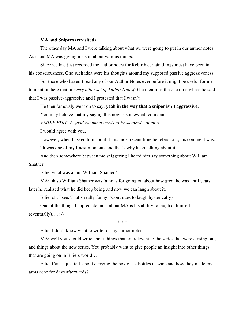## **MA and Snipers (revisited)**

The other day MA and I were talking about what we were going to put in our author notes. As usual MA was giving me shit about various things.

Since we had just recorded the author notes for Rebirth certain things must have been in his consciousness. One such idea were his thoughts around my supposed passive aggressiveness.

For those who haven't read any of our Author Notes ever before it might be useful for me to mention here that in *every other set of Author Notes(!)* he mentions the one time where he said that I was passive-aggressive and I protested that I wasn't.

He then famously went on to say: **yeah in the way that a sniper isn't aggressive.**

You may believe that my saying this now is somewhat redundant.

*<MIKE EDIT: A good comment needs to be savored…often.>*

I would agree with you.

However, when I asked him about it this most recent time he refers to it, his comment was: "It was one of my finest moments and that's why keep talking about it."

And then somewhere between me sniggering I heard him say something about William Shatner.

Ellie: what was about William Shatner?

MA: oh so William Shatner was famous for going on about how great he was until years later he realised what he did keep being and now we can laugh about it.

Ellie: oh. I see. That's really funny. (Continues to laugh hysterically)

One of the things I appreciate most about MA is his ability to laugh at himself  $(eventually)...;$ 

\* \* \*

Ellie: I don't know what to write for my author notes.

MA: well you should write about things that are relevant to the series that were closing out, and things about the new series. You probably want to give people an insight into other things that are going on in Ellie's world…

Ellie: Can't I just talk about carrying the box of 12 bottles of wine and how they made my arms ache for days afterwards?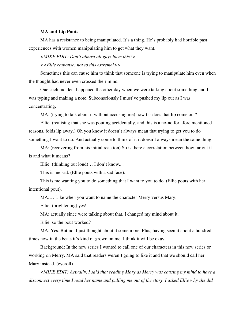#### **MA and Lip Pouts**

MA has a resistance to being manipulated. It's a thing. He's probably had horrible past experiences with women manipulating him to get what they want.

*<MIKE EDIT: Don't almost all guys have this?>*

*<<Ellie response: not to this extreme!>>*

Sometimes this can cause him to think that someone is trying to manipulate him even when the thought had never even crossed their mind.

One such incident happened the other day when we were talking about something and I was typing and making a note. Subconsciously I must've pushed my lip out as I was concentrating.

MA: (trying to talk about it without accusing me) how far does that lip come out?

Ellie: (realising that she was pouting accidentally, and this is a no-no for afore mentioned reasons, folds lip away.) Oh you know it doesn't always mean that trying to get you to do something I want to do. And actually come to think of it it doesn't always mean the same thing.

MA: (recovering from his initial reaction) So is there a correlation between how far out it is and what it means?

Ellie: (thinking out loud)… I don't know....

This is me sad. (Ellie pouts with a sad face).

This is me wanting you to do something that I want to you to do. (Ellie pouts with her intentional pout).

MA:… Like when you want to name the character Merry versus Mary.

Ellie: (brightening) yes!

MA: actually since were talking about that, I changed my mind about it.

Ellie: so the pout worked?

MA: Yes. But no. I just thought about it some more. Plus, having seen it about a hundred times now in the beats it's kind of grown on me. I think it will be okay.

Background: In the new series I wanted to call one of our characters in this new series or working on Merry. MA said that readers weren't going to like it and that we should call her Mary instead. (eyeroll)

*<MIKE EDIT: Actually, I said that reading Mary as Merry was causing my mind to have a disconnect every time I read her name and pulling me out of the story. I asked Ellie why she did*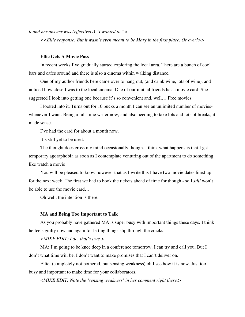*it and her answer was (effectively) "I wanted to.">*

*<<Ellie response: But it wasn't even meant to be Mary in the first place. Or ever!>>*

### **Ellie Gets A Movie Pass**

In recent weeks I've gradually started exploring the local area. There are a bunch of cool bars and cafes around and there is also a cinema within walking distance.

One of my author friends here came over to hang out, (and drink wine, lots of wine), and noticed how close I was to the local cinema. One of our mutual friends has a movie card. She suggested I look into getting one because it's so convenient and, well… Free movies.

I looked into it. Turns out for 10 bucks a month I can see an unlimited number of movieswhenever I want. Being a full-time writer now, and also needing to take lots and lots of breaks, it made sense.

I've had the card for about a month now.

It's still yet to be used.

The thought does cross my mind occasionally though. I think what happens is that I get temporary agoraphobia as soon as I contemplate venturing out of the apartment to do something like watch a movie!

You will be pleased to know however that as I write this I have two movie dates lined up for the next week. The first we had to book the tickets ahead of time for though - so I *still* won't be able to use the movie card…

Oh well, the intention is there.

### **MA and Being Too Important to Talk**

As you probably have gathered MA is super busy with important things these days. I think he feels guilty now and again for letting things slip through the cracks.

# *<MIKE EDIT: I do, that's true.>*

MA: I'm going to be knee deep in a conference tomorrow. I can try and call you. But I don't what time will be. I don't want to make promises that I can't deliver on.

Ellie: (completely not bothered, but sensing weakness) oh I see how it is now. Just too busy and important to make time for your collaborators.

*<MIKE EDIT: Note the 'sensing weakness' in her comment right there.>*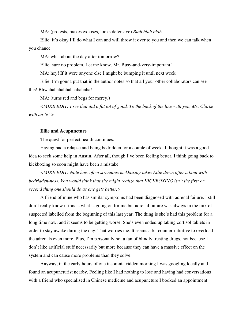MA: (protests, makes excuses, looks defensive) *Blah blah blah.*

Ellie: it's okay I'll do what I can and will throw it over to you and then we can talk when you chance.

MA: what about the day after tomorrow?

Ellie: sure no problem. Let me know. Mr. Busy-and-very-important!

MA: hey! If it were anyone else I might be bumping it until next week.

Ellie: I'm gonna put that in the author notes so that all your other collaborators can see this! Bhwahahahahhahaahahaha!

MA: (turns red and begs for mercy.)

*<MIKE EDIT: I see that did a fat lot of good. To the back of the line with you, Ms. Clarke with an 'e'.>*

#### **Ellie and Acupuncture**

The quest for perfect health continues.

Having had a relapse and being bedridden for a couple of weeks I thought it was a good idea to seek some help in Austin. After all, though I've been feeling better, I think going back to kickboxing so soon might have been a mistake.

*<MIKE EDIT: Note how often strenuous kickboxing takes Ellie down after a bout with bedridden-ness. You would think that she might realize that KICKBOXING isn't the first or second thing one should do as one gets better.>*

A friend of mine who has similar symptoms had been diagnosed with adrenal failure. I still don't really know if this is what is going on for me but adrenal failure was always in the mix of suspected labelled from the beginning of this last year. The thing is she's had this problem for a long time now, and it seems to be getting worse. She's even ended up taking cortisol tablets in order to stay awake during the day. That worries me. It seems a bit counter-intuitive to overload the adrenals even more. Plus, I'm personally not a fan of blindly trusting drugs, not because I don't like artificial stuff necessarily but more because they can have a massive effect on the system and can cause more problems than they solve.

Anyway, in the early hours of one insomnia-ridden morning I was googling locally and found an acupuncturist nearby. Feeling like I had nothing to lose and having had conversations with a friend who specialised in Chinese medicine and acupuncture I booked an appointment.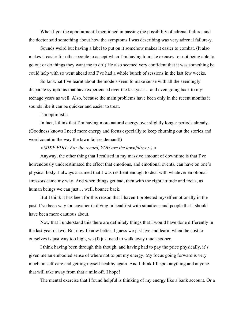When I got the appointment I mentioned in passing the possibility of adrenal failure, and the doctor said something about how the symptoms I was describing was very adrenal failure-y.

Sounds weird but having a label to put on it somehow makes it easier to combat. (It also makes it easier for other people to accept when I'm having to make excuses for not being able to go out or do things they want me to do!) He also seemed very confident that it was something he could help with so went ahead and I've had a whole bunch of sessions in the last few weeks.

So far what I've learnt about the models seem to make sense with all the seemingly disparate symptoms that have experienced over the last year… and even going back to my teenage years as well. Also, because the main problems have been only in the recent months it sounds like it can be quicker and easier to treat.

I'm optimistic.

In fact, I think that I'm having more natural energy over slightly longer periods already. (Goodness knows I need more energy and focus especially to keep churning out the stories and word count in the way the lawn fairies demand!)

# *<MIKE EDIT: For the record, YOU are the lawnfaires ;-).>*

Anyway, the other thing that I realised in my massive amount of downtime is that I've horrendously underestimated the effect that emotions, and emotional events, can have on one's physical body. I always assumed that I was resilient enough to deal with whatever emotional stressors came my way. And when things get bad, then with the right attitude and focus, as human beings we can just… well, bounce back.

But I think it has been for this reason that I haven't protected myself emotionally in the past. I've been way too cavalier in diving in headfirst with situations and people that I should have been more cautious about.

Now that I understand this there are definitely things that I would have done differently in the last year or two. But now I know better. I guess we just live and learn: when the cost to ourselves is just way too high, we (I) just need to walk away much sooner.

I think having been through this though, and having had to pay the price physically, it's given me an embodied sense of where not to put my energy. My focus going forward is very much on self-care and getting myself healthy again. And I think I'll spot anything and anyone that will take away from that a mile off. I hope!

The mental exercise that I found helpful is thinking of my energy like a bank account. Or a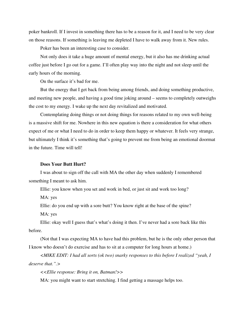poker bankroll. If I invest in something there has to be a reason for it, and I need to be very clear on those reasons. If something is leaving me depleted I have to walk away from it. New rules.

Poker has been an interesting case to consider.

Not only does it take a huge amount of mental energy, but it also has me drinking actual coffee just before I go out for a game. I'll often play way into the night and not sleep until the early hours of the morning.

On the surface it's bad for me.

But the energy that I get back from being among friends, and doing something productive, and meeting new people, and having a good time joking around – seems to completely outweighs the cost to my energy. I wake up the next day revitalized and motivated.

Contemplating doing things or not doing things for reasons related to my own well-being is a massive shift for me. Nowhere in this new equation is there a consideration for what others expect of me or what I need to do in order to keep them happy or whatever. It feels very strange, but ultimately I think it's something that's going to prevent me from being an emotional doormat in the future. Time will tell!

## **Does Your Butt Hurt?**

I was about to sign off the call with MA the other day when suddenly I remembered something I meant to ask him.

Ellie: you know when you set and work in bed, or just sit and work too long?

MA: yes

Ellie: do you end up with a sore butt? You know right at the base of the spine?

MA: yes

Ellie: okay well I guess that's what's doing it then. I've never had a sore back like this before.

(Not that I was expecting MA to have had this problem, but he is the only other person that I know who doesn't do exercise and has to sit at a computer for long hours at home.)

*<MIKE EDIT: I had all sorts (ok two) snarky responses to this before I realized "yeah, I deserve that.".>*

*<<Ellie response: Bring it on, Batman!>>*

MA: you might want to start stretching. I find getting a massage helps too.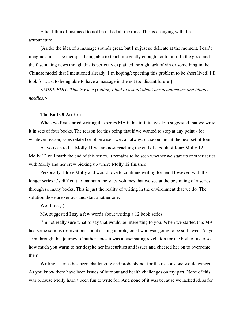Ellie: I think I just need to not be in bed all the time. This is changing with the acupuncture.

[Aside: the idea of a massage sounds great, but I'm just so delicate at the moment. I can't imagine a massage therapist being able to touch me gently enough not to hurt. In the good and the fascinating news though this is perfectly explained through lack of yin or something in the Chinese model that I mentioned already. I'm hoping/expecting this problem to be short lived! I'll look forward to being able to have a massage in the not too distant future!

*<MIKE EDIT: This is when (I think) I had to ask all about her acupuncture and bloody needles.>*

# **The End Of An Era**

When we first started writing this series MA in his infinite wisdom suggested that we write it in sets of four books. The reason for this being that if we wanted to stop at any point - for whatever reason, sales related or otherwise - we can always close out arc at the next set of four.

As you can tell at Molly 11 we are now reaching the end of a book of four: Molly 12. Molly 12 will mark the end of this series. It remains to be seen whether we start up another series with Molly and her crew picking up where Molly 12 finished.

Personally, I love Molly and would love to continue writing for her. However, with the longer series it's difficult to maintain the sales volumes that we see at the beginning of a series through so many books. This is just the reality of writing in the environment that we do. The solution those are serious and start another one.

We'll see :-)

MA suggested I say a few words about writing a 12 book series.

I'm not really sure what to say that would be interesting to you. When we started this MA had some serious reservations about casting a protagonist who was going to be so flawed. As you seen through this journey of author notes it was a fascinating revelation for the both of us to see how much you warm to her despite her insecurities and issues and cheered her on to overcome them.

Writing a series has been challenging and probably not for the reasons one would expect. As you know there have been issues of burnout and health challenges on my part. None of this was because Molly hasn't been fun to write for. And none of it was because we lacked ideas for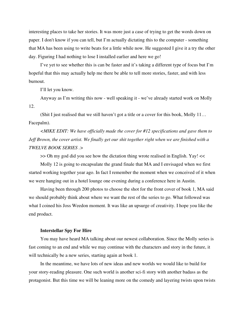interesting places to take her stories. It was more just a case of trying to get the words down on paper. I don't know if you can tell, but I'm actually dictating this to the computer - something that MA has been using to write beats for a little while now. He suggested I give it a try the other day. Figuring I had nothing to lose I installed earlier and here we go!

I've yet to see whether this is can be faster and it's taking a different type of focus but I'm hopeful that this may actually help me there be able to tell more stories, faster, and with less burnout.

I'll let you know.

Anyway as I'm writing this now - well speaking it - we've already started work on Molly 12.

(Shit I just realised that we still haven't got a title or a cover for this book, Molly 11… Facepalm).

*<MIKE EDIT: We have officially made the cover for #12 specifications and gave them to Jeff Brown, the cover artist. We finally get our shit together right when we are finished with a TWELVE BOOK SERIES .>*

>> Oh my god did you see how the dictation thing wrote realised in English. Yay! <<

Molly 12 is going to encapsulate the grand finale that MA and I envisaged when we first started working together year ago. In fact I remember the moment when we conceived of it when we were hanging out in a hotel lounge one evening during a conference here in Austin.

Having been through 200 photos to choose the shot for the front cover of book 1, MA said we should probably think about where we want the rest of the series to go. What followed was what I coined his Joss Weedon moment. It was like an upsurge of creativity. I hope you like the end product.

#### **Interstellar Spy For Hire**

You may have heard MA talking about our newest collaboration. Since the Molly series is fast coming to an end and while we may continue with the characters and story in the future, it will technically be a new series, starting again at book 1.

In the meantime, we have lots of new ideas and new worlds we would like to build for your story-reading pleasure. One such world is another sci-fi story with another badass as the protagonist. But this time we will be leaning more on the comedy and layering twists upon twists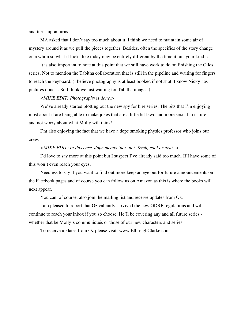and turns upon turns.

MA asked that I don't say too much about it. I think we need to maintain some air of mystery around it as we pull the pieces together. Besides, often the specifics of the story change on a whim so what it looks like today may be entirely different by the time it hits your kindle.

It is also important to note at this point that we still have work to do on finishing the Giles series. Not to mention the Tabitha collaboration that is still in the pipeline and waiting for fingers to reach the keyboard. (I believe photography is at least booked if not shot. I know Nicky has pictures done… So I think we just waiting for Tabitha images.)

# *<MIKE EDIT: Photography is done.>*

We've already started plotting out the new spy for hire series. The bits that I'm enjoying most about it are being able to make jokes that are a little bit lewd and more sexual in nature and not worry about what Molly will think!

I'm also enjoying the fact that we have a dope smoking physics professor who joins our crew.

## *<MIKE EDIT: In this case, dope means 'pot' not 'fresh, cool or neat'.>*

I'd love to say more at this point but I suspect I've already said too much. If I have some of this won't even reach your eyes.

Needless to say if you want to find out more keep an eye out for future announcements on the Facebook pages and of course you can follow us on Amazon as this is where the books will next appear.

You can, of course, also join the mailing list and receive updates from Oz.

I am pleased to report that Oz valiantly survived the new GDRP regulations and will continue to reach your inbox if you so choose. He'll be covering any and all future series whether that be Molly's communiqués or those of our new characters and series.

To receive updates from Oz please visit: www.EllLeighClarke.com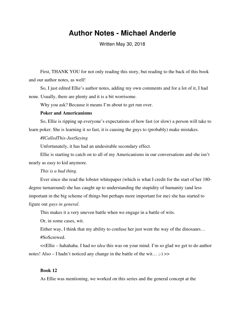# **Author Notes - Michael Anderle**

Written May 30, 2018

First, THANK YOU for not only reading this story, but reading to the back of this book and our author notes, as well!

So, I just edited Ellie's author notes, adding my own comments and for a lot of it, I had none. Usually, there are plenty and it is a bit worrisome.

Why you ask? Because it means I'm about to get run over.

# **Poker and Americanisms**

So, Ellie is ripping up everyone's expectations of how fast (or slow) a person will take to learn poker. She is learning it so fast, it is causing the guys to (probably) make mistakes.

# *#ICalledThis-JustSaying*

Unfortunately, it has had an undesirable secondary effect.

Ellie is starting to catch on to all of my Americanisms in our conversations and she isn't nearly as easy to kid anymore.

## *This is a bad thing.*

Ever since she read the lobster whitepaper (which is what I credit for the start of her 180 degree turnaround) she has caught up to understanding the stupidity of humanity (and less important in the big scheme of things but perhaps more important for me) she has started to figure out *guys in general*.

This makes it a very uneven battle when we engage in a battle of wits.

Or, in some cases, wit.

Either way, I think that my ability to confuse her just went the way of the dinosaurs…

#SoScrewed.

<<Ellie – hahahaha. I had *no idea* this was on your mind. I'm so glad we get to do author notes! Also – I hadn't noticed any change in the battle of the wit...  $\div$  >>

# **Book 12**

As Ellie was mentioning, we worked on this series and the general concept at the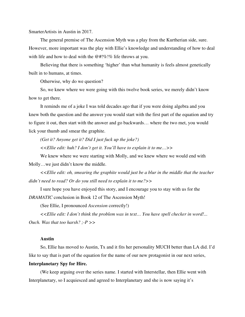SmarterArtists in Austin in 2017.

The general premise of The Ascension Myth was a play from the Kurtherian side, sure. However, more important was the play with Ellie's knowledge and understanding of how to deal with life and how to deal with the @#!%!% life throws at you.

Believing that there is something 'higher' than what humanity is feels almost genetically built in to humans, at times.

Otherwise, why do we question?

So, we knew where we were going with this twelve book series, we merely didn't know how to get there.

It reminds me of a joke I was told decades ago that if you were doing algebra and you knew both the question and the answer you would start with the first part of the equation and try to figure it out, then start with the answer and go backwards… where the two met, you would lick your thumb and smear the graphite.

*(Get it? Anyone get it? Did I just fuck up the joke?)*

*<<Ellie edit: huh? I don't get it. You'll have to explain it to me…>>*

We knew where we were starting with Molly, and we knew where we would end with Molly…we just didn't know the middle.

*<<Ellie edit: oh, smearing the graphite would just be a blur in the middle that the teacher didn't need to read? Or do you still need to explain it to me?>>*

I sure hope you have enjoyed this story, and I encourage you to stay with us for the *DRAMATIC* conclusion in Book 12 of The Ascension Myth!

(See Ellie, I pronounced *Ascension* correctly!)

*<<Ellie edit: I don't think the problem was in text… You have spell checker in word!...* 

*Ouch. Was that too harsh? ;-P >>*

# **Austin**

So, Ellie has moved to Austin, Tx and it fits her personality MUCH better than LA did. I'd like to say that is part of the equation for the name of our new protagonist in our next series,

## **Interplanetary Spy for Hire.**

(We keep arguing over the series name. I started with Interstellar, then Ellie went with Interplanetary, so I acquiesced and agreed to Interplanetary and she is now saying it's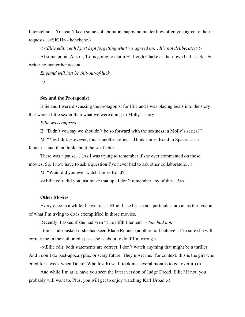Interstellar… You can't keep some collaborators happy no matter how often you agree to their requests…<SIGH> - hehehehe.)

*<<Ellie edit: yeah I just kept forgetting what we agreed on… It's not deliberate!>>*

At some point, Austin, Tx. is going to claim Ell Leigh Clarke as their own bad-ass Sci-Fi writer no matter her accent.

*England will just be shit-out-of-luck.* 

;-)

## **Sex and the Protagonist**

Ellie and I were discussing the protagonist for ISH and I was placing beats into the story that were a little sexier than what we were doing in Molly's story.

*Ellie was confused.*

E: "Didn't you say we shouldn't be so forward with the sexiness in Molly's series?"

M: "Yes I did. However, this is another series – Think James Bond in Space…as a female… and then think about the sex factor…

There was a pause… (As I was trying to remember if she ever commented on those movies. So, I now have to ask a question I've never had to ask other collaborators…)

M: "Wait, did you ever watch James Bond?"

<<Ellie edit: did you just make that up? I don't remember any of this…!>>

#### **Other Movies**

Every once in a while, I have to ask Ellie if she has seen a particular movie, as the 'vision' of what I'm trying to do is exemplified in those movies.

Recently, I asked if she had seen "The Fifth Element" – *She had not.*

I think I also asked if she had seen Blade Runner (another no I believe…I'm sure she will correct me in the author edit pass she is about to do if I'm wrong.)

<<Ellie edit: both statements are correct. I don't watch anything that might be a thriller. And I don't do post-apocalyptic, or scary future. They upset me. (for context: this is the girl who cried for a week when Doctor Who lost Rose. It took me several months to get over it.)>>

And while I'm at it, have you seen the latest version of Judge Dredd, Ellie? If not, you probably will want to. Plus, you will get to enjoy watching Karl Urban ;-)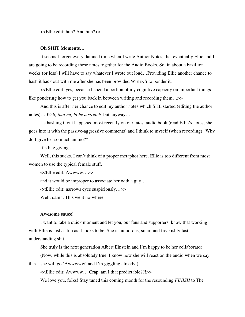<<Ellie edit: huh? And huh?>>

## **Oh SHIT Moments…**

It seems I forget every damned time when I write Author Notes, that eventually Ellie and I are going to be recording these notes together for the Audio Books. So, in about a bazillion weeks (or less) I will have to say whatever I wrote out loud…Providing Ellie another chance to hash it back out with me after she has been provided WEEKS to ponder it.

<<Ellie edit: yes, because I spend a portion of my cognitive capacity on important things like pondering how to get you back in between writing and recording them…>>

And this is after her chance to edit my author notes which SHE started (editing the author notes)… *Well, that might be a stretch,* but anyway…

Us hashing it out happened most recently on our latest audio book (read Ellie's notes, she goes into it with the passive-aggressive comments) and I think to myself (when recording) "Why do I give her so much ammo?"

It's like giving …

Well, this sucks. I can't think of a proper metaphor here. Ellie is too different from most women to use the typical female stuff,

<<Ellie edit: Awwww…>>

and it would be improper to associate her with a guy…

<<Ellie edit: narrows eyes suspiciously…>>

Well, damn. This went no-where.

# **Awesome sauce!**

I want to take a quick moment and let you, our fans and supporters, know that working with Ellie is just as fun as it looks to be. She is humorous, smart and freakishly fast understanding shit.

She truly is the next generation Albert Einstein and I'm happy to be her collaborator!

(Now, while this is absolutely true, I know how she will react on the audio when we say this – she will go 'Awwwww' and I'm giggling already.)

<<Ellie edit: Awwww… Crap, am I that predictable??!>>

We love you, folks! Stay tuned this coming month for the resounding *FINISH* to The